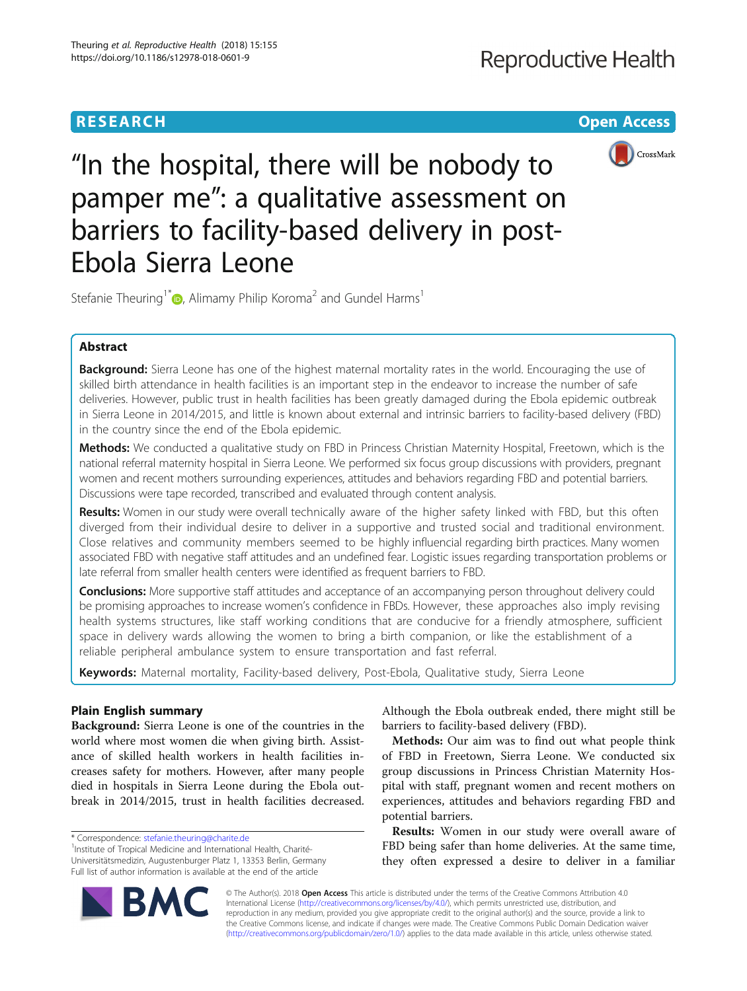# **RESEARCH CHEAR CHEAR CHEAR CHEAR CHEAR CHEAR CHEAR CHEAR CHEAR CHEAR CHEAR CHEAR CHEAR CHEAR CHEAR CHEAR CHEAR**



"In the hospital, there will be nobody to pamper me": a qualitative assessment on barriers to facility-based delivery in post-Ebola Sierra Leone

Stefanie Theuring<sup>1\*</sup>  $\bullet$ [,](http://orcid.org/0000-0002-5372-7903) Alimamy Philip Koroma<sup>2</sup> and Gundel Harms<sup>1</sup>

# Abstract

Background: Sierra Leone has one of the highest maternal mortality rates in the world. Encouraging the use of skilled birth attendance in health facilities is an important step in the endeavor to increase the number of safe deliveries. However, public trust in health facilities has been greatly damaged during the Ebola epidemic outbreak in Sierra Leone in 2014/2015, and little is known about external and intrinsic barriers to facility-based delivery (FBD) in the country since the end of the Ebola epidemic.

Methods: We conducted a qualitative study on FBD in Princess Christian Maternity Hospital, Freetown, which is the national referral maternity hospital in Sierra Leone. We performed six focus group discussions with providers, pregnant women and recent mothers surrounding experiences, attitudes and behaviors regarding FBD and potential barriers. Discussions were tape recorded, transcribed and evaluated through content analysis.

Results: Women in our study were overall technically aware of the higher safety linked with FBD, but this often diverged from their individual desire to deliver in a supportive and trusted social and traditional environment. Close relatives and community members seemed to be highly influencial regarding birth practices. Many women associated FBD with negative staff attitudes and an undefined fear. Logistic issues regarding transportation problems or late referral from smaller health centers were identified as frequent barriers to FBD.

**Conclusions:** More supportive staff attitudes and acceptance of an accompanying person throughout delivery could be promising approaches to increase women's confidence in FBDs. However, these approaches also imply revising health systems structures, like staff working conditions that are conducive for a friendly atmosphere, sufficient space in delivery wards allowing the women to bring a birth companion, or like the establishment of a reliable peripheral ambulance system to ensure transportation and fast referral.

Keywords: Maternal mortality, Facility-based delivery, Post-Ebola, Qualitative study, Sierra Leone

# Plain English summary

Background: Sierra Leone is one of the countries in the world where most women die when giving birth. Assistance of skilled health workers in health facilities increases safety for mothers. However, after many people died in hospitals in Sierra Leone during the Ebola outbreak in 2014/2015, trust in health facilities decreased.

\* Correspondence: [stefanie.theuring@charite.de](mailto:stefanie.theuring@charite.de) <sup>1</sup>



Methods: Our aim was to find out what people think of FBD in Freetown, Sierra Leone. We conducted six group discussions in Princess Christian Maternity Hospital with staff, pregnant women and recent mothers on experiences, attitudes and behaviors regarding FBD and potential barriers.

Results: Women in our study were overall aware of FBD being safer than home deliveries. At the same time, they often expressed a desire to deliver in a familiar

© The Author(s). 2018 Open Access This article is distributed under the terms of the Creative Commons Attribution 4.0 International License [\(http://creativecommons.org/licenses/by/4.0/](http://creativecommons.org/licenses/by/4.0/)), which permits unrestricted use, distribution, and reproduction in any medium, provided you give appropriate credit to the original author(s) and the source, provide a link to the Creative Commons license, and indicate if changes were made. The Creative Commons Public Domain Dedication waiver [\(http://creativecommons.org/publicdomain/zero/1.0/](http://creativecommons.org/publicdomain/zero/1.0/)) applies to the data made available in this article, unless otherwise stated.



<sup>&</sup>lt;sup>1</sup>Institute of Tropical Medicine and International Health, Charité-Universitätsmedizin, Augustenburger Platz 1, 13353 Berlin, Germany Full list of author information is available at the end of the article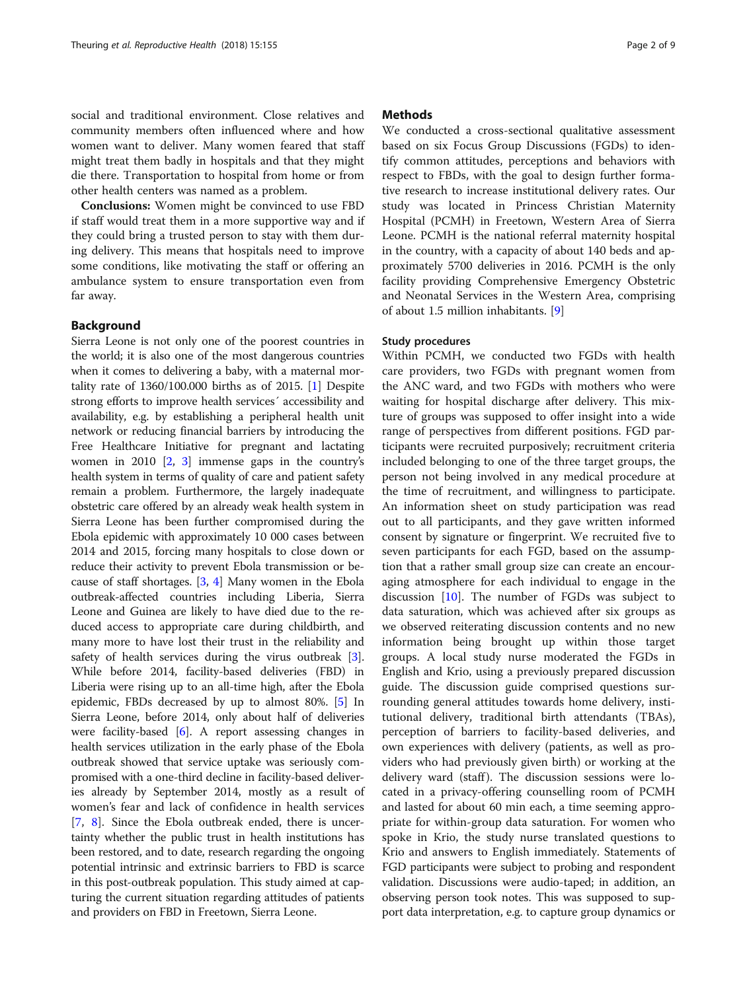social and traditional environment. Close relatives and community members often influenced where and how women want to deliver. Many women feared that staff might treat them badly in hospitals and that they might die there. Transportation to hospital from home or from other health centers was named as a problem.

Conclusions: Women might be convinced to use FBD if staff would treat them in a more supportive way and if they could bring a trusted person to stay with them during delivery. This means that hospitals need to improve some conditions, like motivating the staff or offering an ambulance system to ensure transportation even from far away.

# Background

Sierra Leone is not only one of the poorest countries in the world; it is also one of the most dangerous countries when it comes to delivering a baby, with a maternal mortality rate of  $1360/100.000$  $1360/100.000$  births as of 2015. [1] Despite strong efforts to improve health services´ accessibility and availability, e.g. by establishing a peripheral health unit network or reducing financial barriers by introducing the Free Healthcare Initiative for pregnant and lactating women in [2](#page-8-0)010  $[2, 3]$  $[2, 3]$  immense gaps in the country's health system in terms of quality of care and patient safety remain a problem. Furthermore, the largely inadequate obstetric care offered by an already weak health system in Sierra Leone has been further compromised during the Ebola epidemic with approximately 10 000 cases between 2014 and 2015, forcing many hospitals to close down or reduce their activity to prevent Ebola transmission or because of staff shortages. [[3](#page-8-0), [4\]](#page-8-0) Many women in the Ebola outbreak-affected countries including Liberia, Sierra Leone and Guinea are likely to have died due to the reduced access to appropriate care during childbirth, and many more to have lost their trust in the reliability and safety of health services during the virus outbreak [[3](#page-8-0)]. While before 2014, facility-based deliveries (FBD) in Liberia were rising up to an all-time high, after the Ebola epidemic, FBDs decreased by up to almost 80%. [\[5](#page-8-0)] In Sierra Leone, before 2014, only about half of deliveries were facility-based  $[6]$ . A report assessing changes in health services utilization in the early phase of the Ebola outbreak showed that service uptake was seriously compromised with a one-third decline in facility-based deliveries already by September 2014, mostly as a result of women's fear and lack of confidence in health services [[7](#page-8-0), [8\]](#page-8-0). Since the Ebola outbreak ended, there is uncertainty whether the public trust in health institutions has been restored, and to date, research regarding the ongoing potential intrinsic and extrinsic barriers to FBD is scarce in this post-outbreak population. This study aimed at capturing the current situation regarding attitudes of patients and providers on FBD in Freetown, Sierra Leone.

# **Methods**

We conducted a cross-sectional qualitative assessment based on six Focus Group Discussions (FGDs) to identify common attitudes, perceptions and behaviors with respect to FBDs, with the goal to design further formative research to increase institutional delivery rates. Our study was located in Princess Christian Maternity Hospital (PCMH) in Freetown, Western Area of Sierra Leone. PCMH is the national referral maternity hospital in the country, with a capacity of about 140 beds and approximately 5700 deliveries in 2016. PCMH is the only facility providing Comprehensive Emergency Obstetric and Neonatal Services in the Western Area, comprising of about 1.5 million inhabitants. [\[9](#page-8-0)]

## Study procedures

Within PCMH, we conducted two FGDs with health care providers, two FGDs with pregnant women from the ANC ward, and two FGDs with mothers who were waiting for hospital discharge after delivery. This mixture of groups was supposed to offer insight into a wide range of perspectives from different positions. FGD participants were recruited purposively; recruitment criteria included belonging to one of the three target groups, the person not being involved in any medical procedure at the time of recruitment, and willingness to participate. An information sheet on study participation was read out to all participants, and they gave written informed consent by signature or fingerprint. We recruited five to seven participants for each FGD, based on the assumption that a rather small group size can create an encouraging atmosphere for each individual to engage in the discussion  $[10]$ . The number of FGDs was subject to data saturation, which was achieved after six groups as we observed reiterating discussion contents and no new information being brought up within those target groups. A local study nurse moderated the FGDs in English and Krio, using a previously prepared discussion guide. The discussion guide comprised questions surrounding general attitudes towards home delivery, institutional delivery, traditional birth attendants (TBAs), perception of barriers to facility-based deliveries, and own experiences with delivery (patients, as well as providers who had previously given birth) or working at the delivery ward (staff). The discussion sessions were located in a privacy-offering counselling room of PCMH and lasted for about 60 min each, a time seeming appropriate for within-group data saturation. For women who spoke in Krio, the study nurse translated questions to Krio and answers to English immediately. Statements of FGD participants were subject to probing and respondent validation. Discussions were audio-taped; in addition, an observing person took notes. This was supposed to support data interpretation, e.g. to capture group dynamics or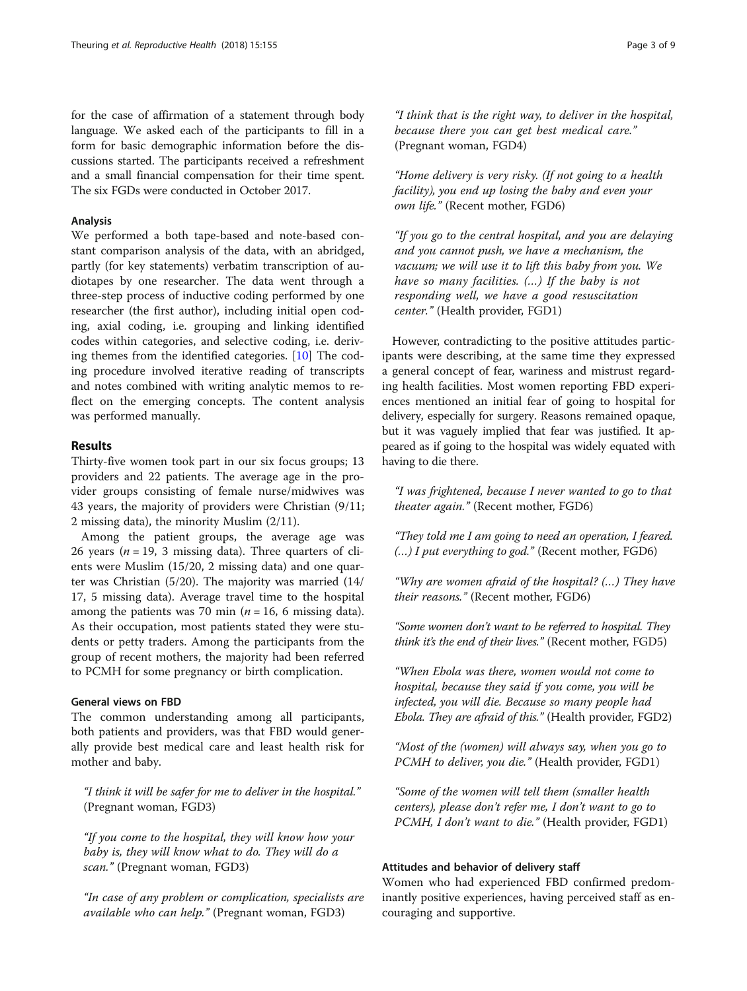for the case of affirmation of a statement through body language. We asked each of the participants to fill in a form for basic demographic information before the discussions started. The participants received a refreshment and a small financial compensation for their time spent. The six FGDs were conducted in October 2017.

# Analysis

We performed a both tape-based and note-based constant comparison analysis of the data, with an abridged, partly (for key statements) verbatim transcription of audiotapes by one researcher. The data went through a three-step process of inductive coding performed by one researcher (the first author), including initial open coding, axial coding, i.e. grouping and linking identified codes within categories, and selective coding, i.e. deriving themes from the identified categories. [\[10\]](#page-8-0) The coding procedure involved iterative reading of transcripts and notes combined with writing analytic memos to reflect on the emerging concepts. The content analysis was performed manually.

# Results

Thirty-five women took part in our six focus groups; 13 providers and 22 patients. The average age in the provider groups consisting of female nurse/midwives was 43 years, the majority of providers were Christian (9/11; 2 missing data), the minority Muslim (2/11).

Among the patient groups, the average age was 26 years ( $n = 19$ , 3 missing data). Three quarters of clients were Muslim (15/20, 2 missing data) and one quarter was Christian (5/20). The majority was married (14/ 17, 5 missing data). Average travel time to the hospital among the patients was 70 min ( $n = 16$ , 6 missing data). As their occupation, most patients stated they were students or petty traders. Among the participants from the group of recent mothers, the majority had been referred to PCMH for some pregnancy or birth complication.

# General views on FBD

The common understanding among all participants, both patients and providers, was that FBD would generally provide best medical care and least health risk for mother and baby.

"I think it will be safer for me to deliver in the hospital." (Pregnant woman, FGD3)

"If you come to the hospital, they will know how your baby is, they will know what to do. They will do a scan." (Pregnant woman, FGD3)

"In case of any problem or complication, specialists are available who can help." (Pregnant woman, FGD3)

"I think that is the right way, to deliver in the hospital, because there you can get best medical care." (Pregnant woman, FGD4)

"Home delivery is very risky. (If not going to a health facility), you end up losing the baby and even your own life." (Recent mother, FGD6)

"If you go to the central hospital, and you are delaying and you cannot push, we have a mechanism, the vacuum; we will use it to lift this baby from you. We have so many facilities. (…) If the baby is not responding well, we have a good resuscitation center." (Health provider, FGD1)

However, contradicting to the positive attitudes participants were describing, at the same time they expressed a general concept of fear, wariness and mistrust regarding health facilities. Most women reporting FBD experiences mentioned an initial fear of going to hospital for delivery, especially for surgery. Reasons remained opaque, but it was vaguely implied that fear was justified. It appeared as if going to the hospital was widely equated with having to die there.

"I was frightened, because I never wanted to go to that theater again." (Recent mother, FGD6)

"They told me I am going to need an operation, I feared. (…) I put everything to god." (Recent mother, FGD6)

"Why are women afraid of the hospital? (…) They have their reasons." (Recent mother, FGD6)

"Some women don't want to be referred to hospital. They think it's the end of their lives." (Recent mother, FGD5)

"When Ebola was there, women would not come to hospital, because they said if you come, you will be infected, you will die. Because so many people had Ebola. They are afraid of this." (Health provider, FGD2)

"Most of the (women) will always say, when you go to PCMH to deliver, you die." (Health provider, FGD1)

"Some of the women will tell them (smaller health centers), please don't refer me, I don't want to go to PCMH, I don't want to die." (Health provider, FGD1)

### Attitudes and behavior of delivery staff

Women who had experienced FBD confirmed predominantly positive experiences, having perceived staff as encouraging and supportive.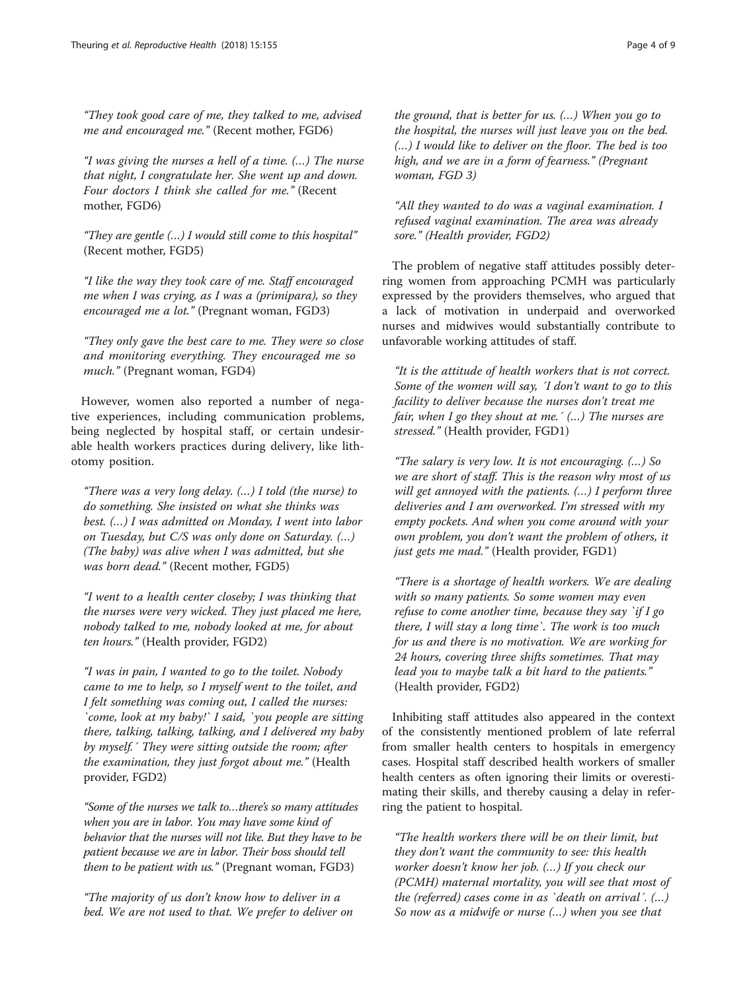"They took good care of me, they talked to me, advised me and encouraged me." (Recent mother, FGD6)

"I was giving the nurses a hell of a time. (…) The nurse that night, I congratulate her. She went up and down. Four doctors I think she called for me." (Recent mother, FGD6)

"They are gentle  $(...)$  I would still come to this hospital" (Recent mother, FGD5)

"I like the way they took care of me. Staff encouraged me when I was crying, as I was a (primipara), so they encouraged me a lot." (Pregnant woman, FGD3)

"They only gave the best care to me. They were so close and monitoring everything. They encouraged me so much." (Pregnant woman, FGD4)

However, women also reported a number of negative experiences, including communication problems, being neglected by hospital staff, or certain undesirable health workers practices during delivery, like lithotomy position.

"There was a very long delay. (…) I told (the nurse) to do something. She insisted on what she thinks was best. (…) I was admitted on Monday, I went into labor on Tuesday, but C/S was only done on Saturday. (…) (The baby) was alive when I was admitted, but she was born dead." (Recent mother, FGD5)

"I went to a health center closeby; I was thinking that the nurses were very wicked. They just placed me here, nobody talked to me, nobody looked at me, for about ten hours." (Health provider, FGD2)

"I was in pain, I wanted to go to the toilet. Nobody came to me to help, so I myself went to the toilet, and I felt something was coming out, I called the nurses: `come, look at my baby!` I said, `you people are sitting there, talking, talking, talking, and I delivered my baby by myself.´ They were sitting outside the room; after the examination, they just forgot about me." (Health provider, FGD2)

"Some of the nurses we talk to…there's so many attitudes when you are in labor. You may have some kind of behavior that the nurses will not like. But they have to be patient because we are in labor. Their boss should tell them to be patient with us." (Pregnant woman, FGD3)

"The majority of us don't know how to deliver in a bed. We are not used to that. We prefer to deliver on the ground, that is better for us. (…) When you go to the hospital, the nurses will just leave you on the bed. (…) I would like to deliver on the floor. The bed is too high, and we are in a form of fearness." (Pregnant woman, FGD 3)

"All they wanted to do was a vaginal examination. I refused vaginal examination. The area was already sore." (Health provider, FGD2)

The problem of negative staff attitudes possibly deterring women from approaching PCMH was particularly expressed by the providers themselves, who argued that a lack of motivation in underpaid and overworked nurses and midwives would substantially contribute to unfavorable working attitudes of staff.

"It is the attitude of health workers that is not correct. Some of the women will say, ´I don't want to go to this facility to deliver because the nurses don't treat me fair, when I go they shout at me.'  $(...)$  The nurses are stressed." (Health provider, FGD1)

"The salary is very low. It is not encouraging. (…) So we are short of staff. This is the reason why most of us will get annoyed with the patients.  $(...)$  I perform three deliveries and I am overworked. I'm stressed with my empty pockets. And when you come around with your own problem, you don't want the problem of others, it just gets me mad." (Health provider, FGD1)

"There is a shortage of health workers. We are dealing with so many patients. So some women may even refuse to come another time, because they say `if I go there, I will stay a long time`. The work is too much for us and there is no motivation. We are working for 24 hours, covering three shifts sometimes. That may lead you to maybe talk a bit hard to the patients." (Health provider, FGD2)

Inhibiting staff attitudes also appeared in the context of the consistently mentioned problem of late referral from smaller health centers to hospitals in emergency cases. Hospital staff described health workers of smaller health centers as often ignoring their limits or overestimating their skills, and thereby causing a delay in referring the patient to hospital.

"The health workers there will be on their limit, but they don't want the community to see: this health worker doesn't know her job. (…) If you check our (PCMH) maternal mortality, you will see that most of the (referred) cases come in as  $\delta$  death on arrival'.  $(...)$ So now as a midwife or nurse (…) when you see that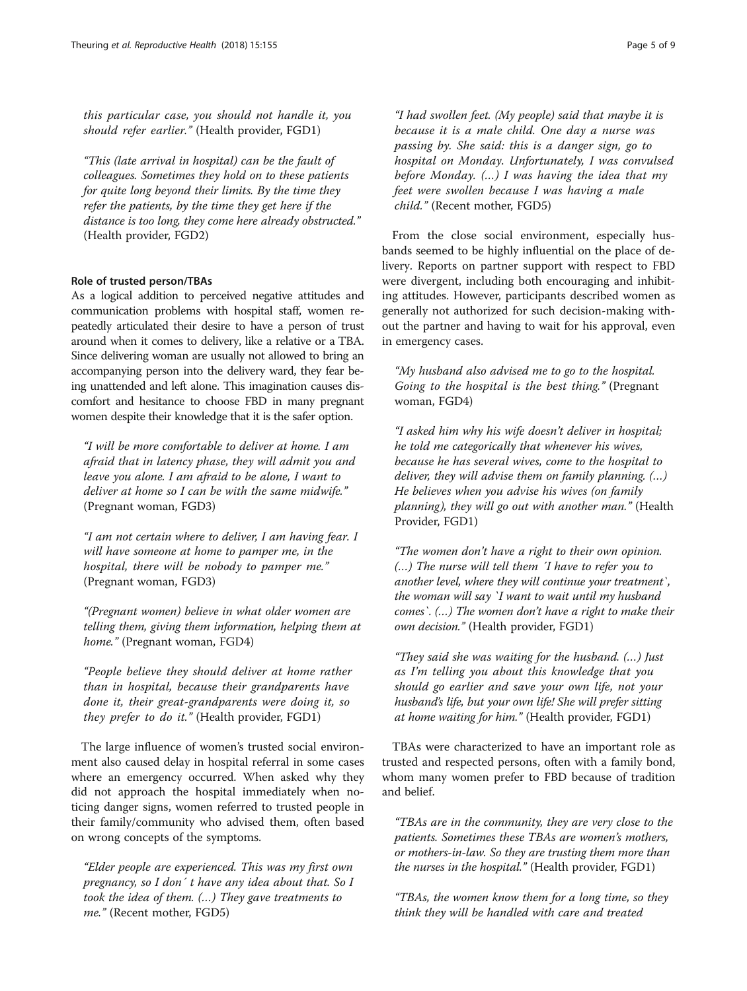this particular case, you should not handle it, you should refer earlier." (Health provider, FGD1)

"This (late arrival in hospital) can be the fault of colleagues. Sometimes they hold on to these patients for quite long beyond their limits. By the time they refer the patients, by the time they get here if the distance is too long, they come here already obstructed." (Health provider, FGD2)

# Role of trusted person/TBAs

As a logical addition to perceived negative attitudes and communication problems with hospital staff, women repeatedly articulated their desire to have a person of trust around when it comes to delivery, like a relative or a TBA. Since delivering woman are usually not allowed to bring an accompanying person into the delivery ward, they fear being unattended and left alone. This imagination causes discomfort and hesitance to choose FBD in many pregnant women despite their knowledge that it is the safer option.

"I will be more comfortable to deliver at home. I am afraid that in latency phase, they will admit you and leave you alone. I am afraid to be alone, I want to deliver at home so I can be with the same midwife." (Pregnant woman, FGD3)

"I am not certain where to deliver, I am having fear. I will have someone at home to pamper me, in the hospital, there will be nobody to pamper me." (Pregnant woman, FGD3)

"(Pregnant women) believe in what older women are telling them, giving them information, helping them at home." (Pregnant woman, FGD4)

"People believe they should deliver at home rather than in hospital, because their grandparents have done it, their great-grandparents were doing it, so they prefer to do it." (Health provider, FGD1)

The large influence of women's trusted social environment also caused delay in hospital referral in some cases where an emergency occurred. When asked why they did not approach the hospital immediately when noticing danger signs, women referred to trusted people in their family/community who advised them, often based on wrong concepts of the symptoms.

"Elder people are experienced. This was my first own pregnancy, so I don´ t have any idea about that. So I took the idea of them. (…) They gave treatments to me." (Recent mother, FGD5)

"I had swollen feet. (My people) said that maybe it is because it is a male child. One day a nurse was passing by. She said: this is a danger sign, go to hospital on Monday. Unfortunately, I was convulsed before Monday. (…) I was having the idea that my feet were swollen because I was having a male child." (Recent mother, FGD5)

From the close social environment, especially husbands seemed to be highly influential on the place of delivery. Reports on partner support with respect to FBD were divergent, including both encouraging and inhibiting attitudes. However, participants described women as generally not authorized for such decision-making without the partner and having to wait for his approval, even in emergency cases.

"My husband also advised me to go to the hospital. Going to the hospital is the best thing." (Pregnant woman, FGD4)

"I asked him why his wife doesn't deliver in hospital; he told me categorically that whenever his wives, because he has several wives, come to the hospital to deliver, they will advise them on family planning. (…) He believes when you advise his wives (on family planning), they will go out with another man." (Health Provider, FGD1)

"The women don't have a right to their own opinion. (…) The nurse will tell them ´I have to refer you to another level, where they will continue your treatment`, the woman will say `I want to wait until my husband comes`. (…) The women don't have a right to make their own decision." (Health provider, FGD1)

"They said she was waiting for the husband. (…) Just as I'm telling you about this knowledge that you should go earlier and save your own life, not your husband's life, but your own life! She will prefer sitting at home waiting for him." (Health provider, FGD1)

TBAs were characterized to have an important role as trusted and respected persons, often with a family bond, whom many women prefer to FBD because of tradition and belief.

"TBAs are in the community, they are very close to the patients. Sometimes these TBAs are women's mothers, or mothers-in-law. So they are trusting them more than the nurses in the hospital." (Health provider, FGD1)

"TBAs, the women know them for a long time, so they think they will be handled with care and treated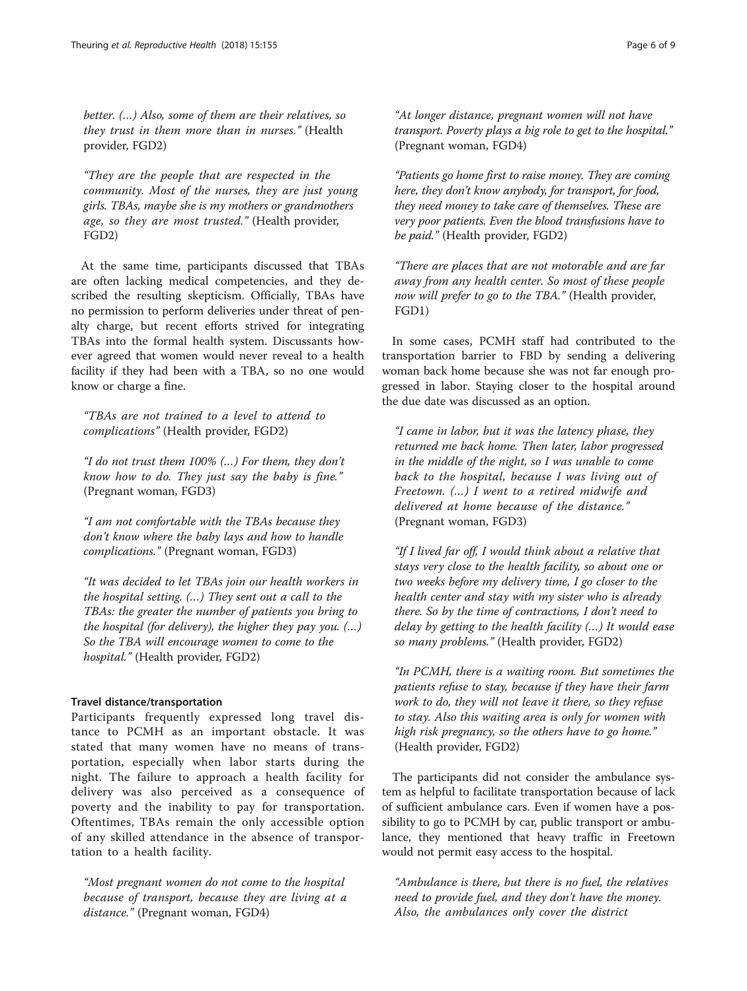better. (…) Also, some of them are their relatives, so they trust in them more than in nurses." (Health provider, FGD2)

"They are the people that are respected in the community. Most of the nurses, they are just young girls. TBAs, maybe she is my mothers or grandmothers age, so they are most trusted." (Health provider, FGD2)

At the same time, participants discussed that TBAs are often lacking medical competencies, and they described the resulting skepticism. Officially, TBAs have no permission to perform deliveries under threat of penalty charge, but recent efforts strived for integrating TBAs into the formal health system. Discussants however agreed that women would never reveal to a health facility if they had been with a TBA, so no one would know or charge a fine.

"TBAs are not trained to a level to attend to complications" (Health provider, FGD2)

"I do not trust them  $100\%$  (...) For them, they don't know how to do. They just say the baby is fine." (Pregnant woman, FGD3)

"I am not comfortable with the TBAs because they don't know where the baby lays and how to handle complications." (Pregnant woman, FGD3)

"It was decided to let TBAs join our health workers in the hospital setting. (…) They sent out a call to the TBAs: the greater the number of patients you bring to the hospital (for delivery), the higher they pay you.  $(...)$ So the TBA will encourage women to come to the hospital." (Health provider, FGD2)

# Travel distance/transportation

Participants frequently expressed long travel distance to PCMH as an important obstacle. It was stated that many women have no means of transportation, especially when labor starts during the night. The failure to approach a health facility for delivery was also perceived as a consequence of poverty and the inability to pay for transportation. Oftentimes, TBAs remain the only accessible option of any skilled attendance in the absence of transportation to a health facility.

"Most pregnant women do not come to the hospital because of transport, because they are living at a distance." (Pregnant woman, FGD4)

"At longer distance, pregnant women will not have transport. Poverty plays a big role to get to the hospital." (Pregnant woman, FGD4)

"Patients go home first to raise money. They are coming here, they don't know anybody, for transport, for food, they need money to take care of themselves. These are very poor patients. Even the blood transfusions have to be paid." (Health provider, FGD2)

"There are places that are not motorable and are far away from any health center. So most of these people now will prefer to go to the TBA." (Health provider, FGD1)

In some cases, PCMH staff had contributed to the transportation barrier to FBD by sending a delivering woman back home because she was not far enough progressed in labor. Staying closer to the hospital around the due date was discussed as an option.

"I came in labor, but it was the latency phase, they returned me back home. Then later, labor progressed in the middle of the night, so I was unable to come back to the hospital, because I was living out of Freetown. (…) I went to a retired midwife and delivered at home because of the distance." (Pregnant woman, FGD3)

"If I lived far off, I would think about a relative that stays very close to the health facility, so about one or two weeks before my delivery time, I go closer to the health center and stay with my sister who is already there. So by the time of contractions, I don't need to delay by getting to the health facility (…) It would ease so many problems." (Health provider, FGD2)

"In PCMH, there is a waiting room. But sometimes the patients refuse to stay, because if they have their farm work to do, they will not leave it there, so they refuse to stay. Also this waiting area is only for women with high risk pregnancy, so the others have to go home." (Health provider, FGD2)

The participants did not consider the ambulance system as helpful to facilitate transportation because of lack of sufficient ambulance cars. Even if women have a possibility to go to PCMH by car, public transport or ambulance, they mentioned that heavy traffic in Freetown would not permit easy access to the hospital.

"Ambulance is there, but there is no fuel, the relatives need to provide fuel, and they don't have the money. Also, the ambulances only cover the district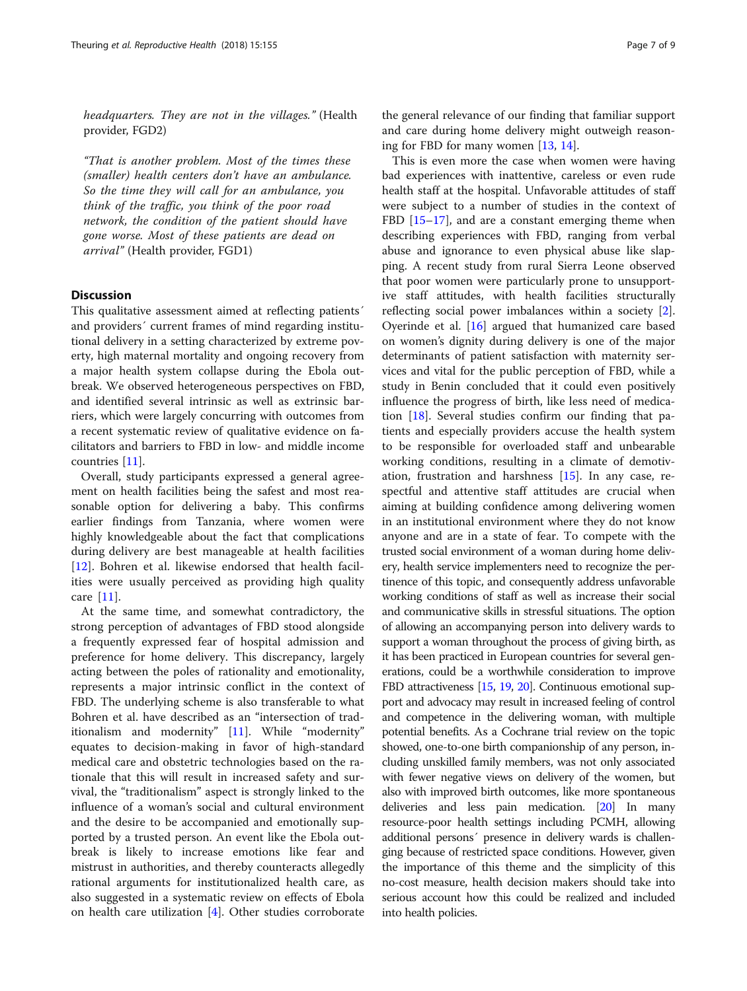headquarters. They are not in the villages." (Health provider, FGD2)

"That is another problem. Most of the times these (smaller) health centers don't have an ambulance. So the time they will call for an ambulance, you think of the traffic, you think of the poor road network, the condition of the patient should have gone worse. Most of these patients are dead on arrival" (Health provider, FGD1)

# **Discussion**

This qualitative assessment aimed at reflecting patients´ and providers´ current frames of mind regarding institutional delivery in a setting characterized by extreme poverty, high maternal mortality and ongoing recovery from a major health system collapse during the Ebola outbreak. We observed heterogeneous perspectives on FBD, and identified several intrinsic as well as extrinsic barriers, which were largely concurring with outcomes from a recent systematic review of qualitative evidence on facilitators and barriers to FBD in low- and middle income countries [[11](#page-8-0)].

Overall, study participants expressed a general agreement on health facilities being the safest and most reasonable option for delivering a baby. This confirms earlier findings from Tanzania, where women were highly knowledgeable about the fact that complications during delivery are best manageable at health facilities [[12\]](#page-8-0). Bohren et al. likewise endorsed that health facilities were usually perceived as providing high quality care [[11](#page-8-0)].

At the same time, and somewhat contradictory, the strong perception of advantages of FBD stood alongside a frequently expressed fear of hospital admission and preference for home delivery. This discrepancy, largely acting between the poles of rationality and emotionality, represents a major intrinsic conflict in the context of FBD. The underlying scheme is also transferable to what Bohren et al. have described as an "intersection of traditionalism and modernity" [\[11](#page-8-0)]. While "modernity" equates to decision-making in favor of high-standard medical care and obstetric technologies based on the rationale that this will result in increased safety and survival, the "traditionalism" aspect is strongly linked to the influence of a woman's social and cultural environment and the desire to be accompanied and emotionally supported by a trusted person. An event like the Ebola outbreak is likely to increase emotions like fear and mistrust in authorities, and thereby counteracts allegedly rational arguments for institutionalized health care, as also suggested in a systematic review on effects of Ebola on health care utilization [[4\]](#page-8-0). Other studies corroborate

the general relevance of our finding that familiar support and care during home delivery might outweigh reasoning for FBD for many women [\[13,](#page-8-0) [14\]](#page-8-0).

This is even more the case when women were having bad experiences with inattentive, careless or even rude health staff at the hospital. Unfavorable attitudes of staff were subject to a number of studies in the context of FBD [[15](#page-8-0)–[17](#page-8-0)], and are a constant emerging theme when describing experiences with FBD, ranging from verbal abuse and ignorance to even physical abuse like slapping. A recent study from rural Sierra Leone observed that poor women were particularly prone to unsupportive staff attitudes, with health facilities structurally reflecting social power imbalances within a society [\[2](#page-8-0)]. Oyerinde et al. [\[16](#page-8-0)] argued that humanized care based on women's dignity during delivery is one of the major determinants of patient satisfaction with maternity services and vital for the public perception of FBD, while a study in Benin concluded that it could even positively influence the progress of birth, like less need of medication [[18\]](#page-8-0). Several studies confirm our finding that patients and especially providers accuse the health system to be responsible for overloaded staff and unbearable working conditions, resulting in a climate of demotivation, frustration and harshness [\[15](#page-8-0)]. In any case, respectful and attentive staff attitudes are crucial when aiming at building confidence among delivering women in an institutional environment where they do not know anyone and are in a state of fear. To compete with the trusted social environment of a woman during home delivery, health service implementers need to recognize the pertinence of this topic, and consequently address unfavorable working conditions of staff as well as increase their social and communicative skills in stressful situations. The option of allowing an accompanying person into delivery wards to support a woman throughout the process of giving birth, as it has been practiced in European countries for several generations, could be a worthwhile consideration to improve FBD attractiveness [[15](#page-8-0), [19,](#page-8-0) [20](#page-8-0)]. Continuous emotional support and advocacy may result in increased feeling of control and competence in the delivering woman, with multiple potential benefits. As a Cochrane trial review on the topic showed, one-to-one birth companionship of any person, including unskilled family members, was not only associated with fewer negative views on delivery of the women, but also with improved birth outcomes, like more spontaneous deliveries and less pain medication. [\[20\]](#page-8-0) In many resource-poor health settings including PCMH, allowing additional persons´ presence in delivery wards is challenging because of restricted space conditions. However, given the importance of this theme and the simplicity of this no-cost measure, health decision makers should take into serious account how this could be realized and included into health policies.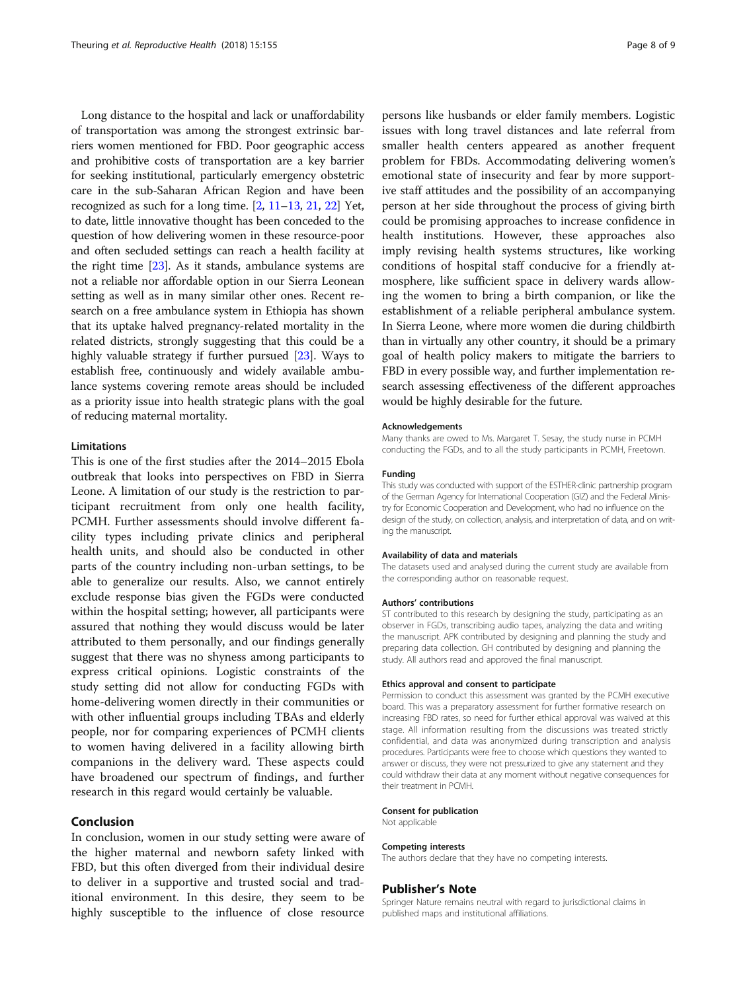Long distance to the hospital and lack or unaffordability of transportation was among the strongest extrinsic barriers women mentioned for FBD. Poor geographic access and prohibitive costs of transportation are a key barrier for seeking institutional, particularly emergency obstetric care in the sub-Saharan African Region and have been recognized as such for a long time. [\[2](#page-8-0), [11](#page-8-0)–[13](#page-8-0), [21,](#page-8-0) [22\]](#page-8-0) Yet, to date, little innovative thought has been conceded to the question of how delivering women in these resource-poor and often secluded settings can reach a health facility at the right time [\[23\]](#page-8-0). As it stands, ambulance systems are not a reliable nor affordable option in our Sierra Leonean setting as well as in many similar other ones. Recent research on a free ambulance system in Ethiopia has shown that its uptake halved pregnancy-related mortality in the related districts, strongly suggesting that this could be a highly valuable strategy if further pursued [\[23\]](#page-8-0). Ways to establish free, continuously and widely available ambulance systems covering remote areas should be included as a priority issue into health strategic plans with the goal of reducing maternal mortality.

### **Limitations**

This is one of the first studies after the 2014–2015 Ebola outbreak that looks into perspectives on FBD in Sierra Leone. A limitation of our study is the restriction to participant recruitment from only one health facility, PCMH. Further assessments should involve different facility types including private clinics and peripheral health units, and should also be conducted in other parts of the country including non-urban settings, to be able to generalize our results. Also, we cannot entirely exclude response bias given the FGDs were conducted within the hospital setting; however, all participants were assured that nothing they would discuss would be later attributed to them personally, and our findings generally suggest that there was no shyness among participants to express critical opinions. Logistic constraints of the study setting did not allow for conducting FGDs with home-delivering women directly in their communities or with other influential groups including TBAs and elderly people, nor for comparing experiences of PCMH clients to women having delivered in a facility allowing birth companions in the delivery ward. These aspects could have broadened our spectrum of findings, and further research in this regard would certainly be valuable.

# Conclusion

In conclusion, women in our study setting were aware of the higher maternal and newborn safety linked with FBD, but this often diverged from their individual desire to deliver in a supportive and trusted social and traditional environment. In this desire, they seem to be highly susceptible to the influence of close resource

persons like husbands or elder family members. Logistic issues with long travel distances and late referral from smaller health centers appeared as another frequent problem for FBDs. Accommodating delivering women's emotional state of insecurity and fear by more supportive staff attitudes and the possibility of an accompanying person at her side throughout the process of giving birth could be promising approaches to increase confidence in health institutions. However, these approaches also imply revising health systems structures, like working conditions of hospital staff conducive for a friendly atmosphere, like sufficient space in delivery wards allowing the women to bring a birth companion, or like the establishment of a reliable peripheral ambulance system. In Sierra Leone, where more women die during childbirth than in virtually any other country, it should be a primary goal of health policy makers to mitigate the barriers to FBD in every possible way, and further implementation research assessing effectiveness of the different approaches would be highly desirable for the future.

#### Acknowledgements

Many thanks are owed to Ms. Margaret T. Sesay, the study nurse in PCMH conducting the FGDs, and to all the study participants in PCMH, Freetown.

#### Funding

This study was conducted with support of the ESTHER-clinic partnership program of the German Agency for International Cooperation (GIZ) and the Federal Ministry for Economic Cooperation and Development, who had no influence on the design of the study, on collection, analysis, and interpretation of data, and on writing the manuscript.

### Availability of data and materials

The datasets used and analysed during the current study are available from the corresponding author on reasonable request.

#### Authors' contributions

ST contributed to this research by designing the study, participating as an observer in FGDs, transcribing audio tapes, analyzing the data and writing the manuscript. APK contributed by designing and planning the study and preparing data collection. GH contributed by designing and planning the study. All authors read and approved the final manuscript.

### Ethics approval and consent to participate

Permission to conduct this assessment was granted by the PCMH executive board. This was a preparatory assessment for further formative research on increasing FBD rates, so need for further ethical approval was waived at this stage. All information resulting from the discussions was treated strictly confidential, and data was anonymized during transcription and analysis procedures. Participants were free to choose which questions they wanted to answer or discuss, they were not pressurized to give any statement and they could withdraw their data at any moment without negative consequences for their treatment in PCMH.

### Consent for publication

Not applicable

#### Competing interests

The authors declare that they have no competing interests.

#### Publisher's Note

Springer Nature remains neutral with regard to jurisdictional claims in published maps and institutional affiliations.